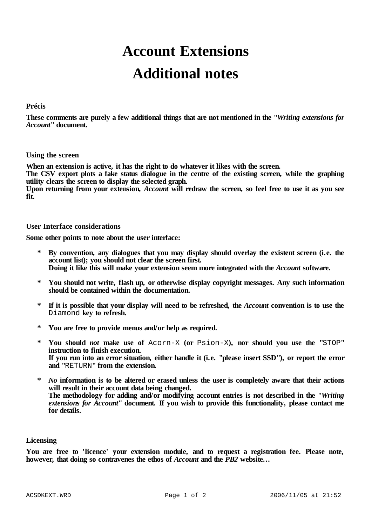# **Account Extensions Additional notes**

# **Précis**

These comments are purely a few additional things that are not mentioned in the "Writing extensions for *Account***" document.**

# **Using the screen**

**When an extension is active, it has the right to do whatever it likes with the screen.**

The CSV export plots a fake status dialogue in the centre of the existing screen, while the graphing **utility clears the screen to display the selected graph.**

Upon returning from your extension, *Account* will redraw the screen, so feel free to use it as you see **fit.**

# **User Interface considerations**

**Some other points to note about the user interface:**

- **\* By convention, any dialogues that you may display should overlay the existent screen (i.e. the account list); you should not clear the screen first. Doing it like this will make your extension seem more integrated with the** *Account* **software.**
- **\* You should not write, flash up, or otherwise display copyright messages. Any such information should be contained within the documentation.**
- \* If it is possible that your display will need to be refreshed, the *Account* convention is to use the Diamond **key to refresh.**
- **\* You are free to provide menus and/or help as required.**
- **\* You should** *not* **make use of** Acorn-X **(or** Psion-X**), nor should you use the "**STOP**" instruction to finish execution.** If you run into an error situation, either handle it (i.e. "please insert SSD"), or report the error **and "**RETURN**" from the extension.**
- **\*** *No* **information is to be altered or erased unless the user is completely aware that their actions will result in their account data being changed. The methodology for adding and/or modifying account entries is not described in the "***Writing extensions for Account***" document. If you wish to provide this functionality, please contact me for details.**

#### **Licensing**

**You are free to 'licence' your extension module, and to request a registration fee. Please note, however, that doing so contravenes the ethos of** *Account* **and the** *PB2* **website...**